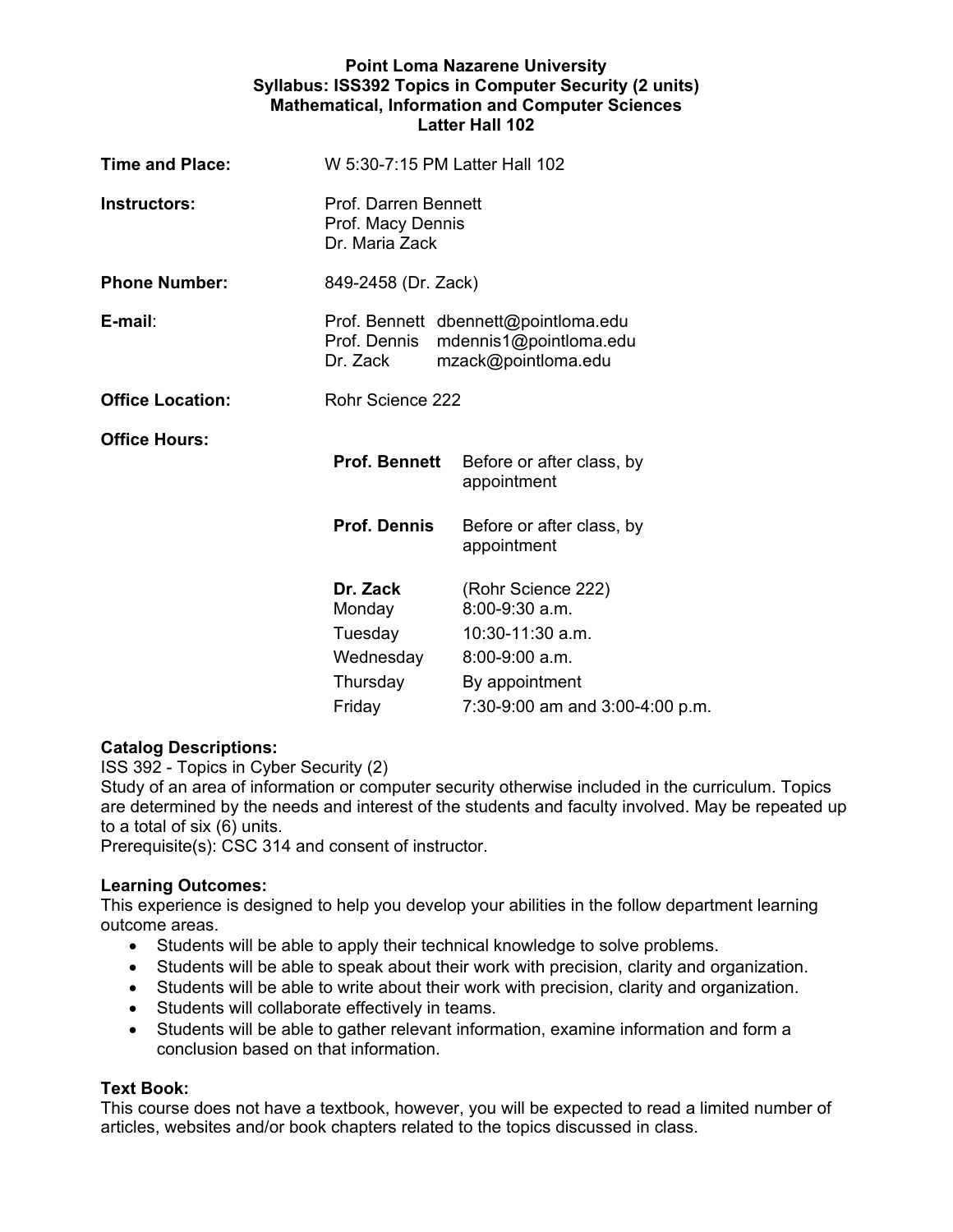## **Point Loma Nazarene University Syllabus: ISS392 Topics in Computer Security (2 units) Mathematical, Information and Computer Sciences Latter Hall 102**

| <b>Time and Place:</b>  | W 5:30-7:15 PM Latter Hall 102                                                                                    |                                                            |  |
|-------------------------|-------------------------------------------------------------------------------------------------------------------|------------------------------------------------------------|--|
| <b>Instructors:</b>     | Prof. Darren Bennett<br>Prof. Macy Dennis<br>Dr. Maria Zack                                                       |                                                            |  |
| <b>Phone Number:</b>    | 849-2458 (Dr. Zack)                                                                                               |                                                            |  |
| E-mail:                 | Prof. Bennett dbennett@pointloma.edu<br>Prof. Dennis<br>mdennis1@pointloma.edu<br>mzack@pointloma.edu<br>Dr. Zack |                                                            |  |
| <b>Office Location:</b> | Rohr Science 222                                                                                                  |                                                            |  |
| Office Hours:           | <b>Prof. Bennett</b>                                                                                              | Before or after class, by<br>appointment                   |  |
|                         | <b>Prof. Dennis</b>                                                                                               | Before or after class, by<br>appointment                   |  |
|                         | Dr. Zack<br>Monday<br>Tuesday                                                                                     | (Rohr Science 222)<br>$8:00-9:30$ a.m.<br>10:30-11:30 a.m. |  |
|                         | Wednesday                                                                                                         | $8:00-9:00$ a.m.                                           |  |
|                         | Thursday                                                                                                          | By appointment                                             |  |
|                         | Friday                                                                                                            | 7:30-9:00 am and 3:00-4:00 p.m.                            |  |

# **Catalog Descriptions:**

ISS 392 - Topics in Cyber Security (2)

Study of an area of information or computer security otherwise included in the curriculum. Topics are determined by the needs and interest of the students and faculty involved. May be repeated up to a total of six (6) units.

Prerequisite(s): CSC 314 and consent of instructor.

# **Learning Outcomes:**

This experience is designed to help you develop your abilities in the follow department learning outcome areas.

- Students will be able to apply their technical knowledge to solve problems.
- Students will be able to speak about their work with precision, clarity and organization.
- Students will be able to write about their work with precision, clarity and organization.
- Students will collaborate effectively in teams.
- Students will be able to gather relevant information, examine information and form a conclusion based on that information.

# **Text Book:**

This course does not have a textbook, however, you will be expected to read a limited number of articles, websites and/or book chapters related to the topics discussed in class.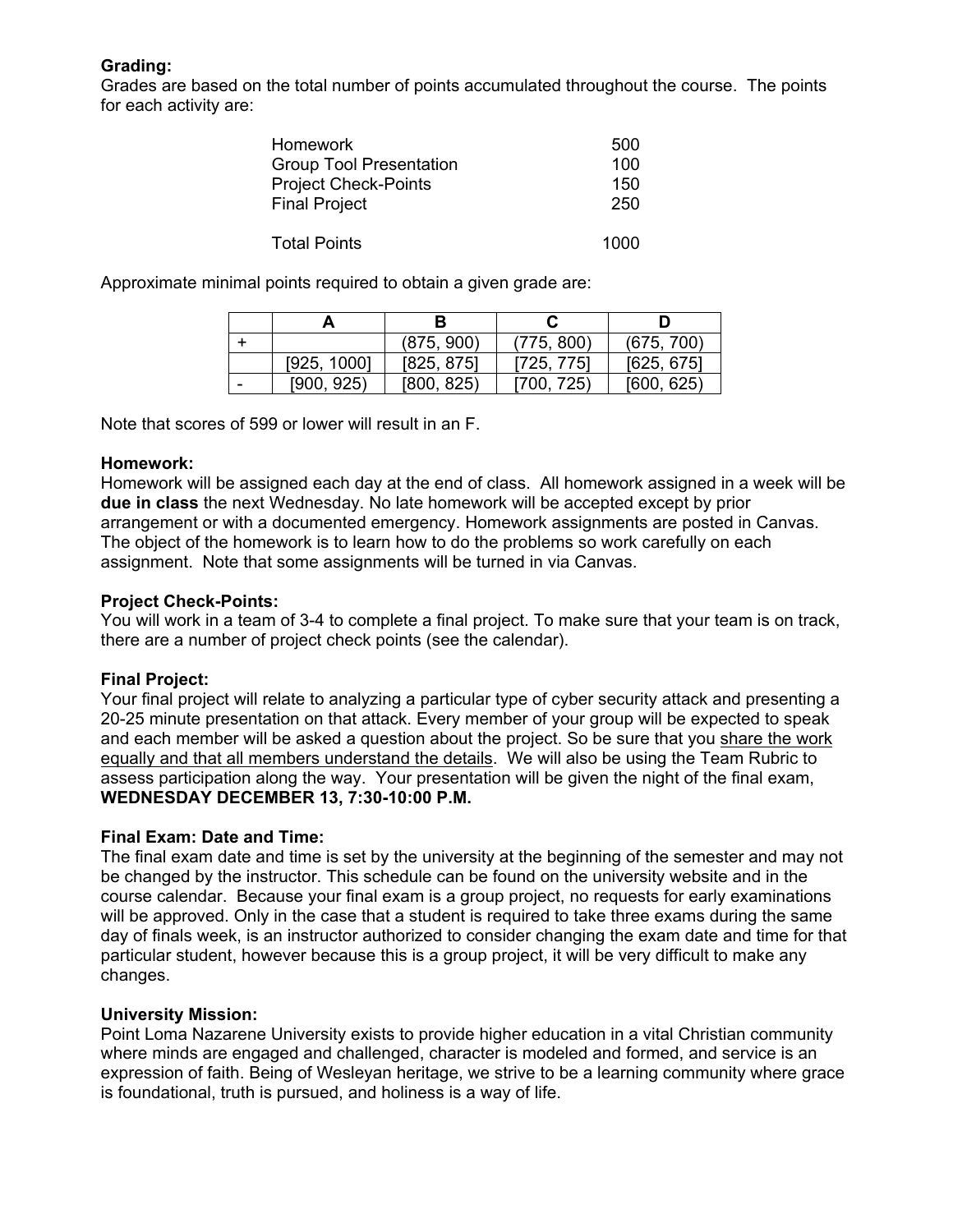# **Grading:**

Grades are based on the total number of points accumulated throughout the course. The points for each activity are:

| <b>Homework</b>                | 500  |
|--------------------------------|------|
| <b>Group Tool Presentation</b> | 100  |
| <b>Project Check-Points</b>    | 150  |
| <b>Final Project</b>           | 250  |
|                                |      |
| <b>Total Points</b>            | 1000 |

Approximate minimal points required to obtain a given grade are:

|   |             | (875, 900) | (775, 800) | (675, 700) |
|---|-------------|------------|------------|------------|
|   | [925, 1000] | [825, 875] | [725, 775] | [625, 675] |
| - | [900, 925)  | [800, 825] | [700, 725] | [600, 625] |

Note that scores of 599 or lower will result in an F.

## **Homework:**

Homework will be assigned each day at the end of class. All homework assigned in a week will be **due in class** the next Wednesday. No late homework will be accepted except by prior arrangement or with a documented emergency. Homework assignments are posted in Canvas. The object of the homework is to learn how to do the problems so work carefully on each assignment. Note that some assignments will be turned in via Canvas.

# **Project Check-Points:**

You will work in a team of 3-4 to complete a final project. To make sure that your team is on track, there are a number of project check points (see the calendar).

# **Final Project:**

Your final project will relate to analyzing a particular type of cyber security attack and presenting a 20-25 minute presentation on that attack. Every member of your group will be expected to speak and each member will be asked a question about the project. So be sure that you share the work equally and that all members understand the details. We will also be using the Team Rubric to assess participation along the way. Your presentation will be given the night of the final exam, **WEDNESDAY DECEMBER 13, 7:30-10:00 P.M.** 

# **Final Exam: Date and Time:**

The final exam date and time is set by the university at the beginning of the semester and may not be changed by the instructor. This schedule can be found on the university website and in the course calendar. Because your final exam is a group project, no requests for early examinations will be approved. Only in the case that a student is required to take three exams during the same day of finals week, is an instructor authorized to consider changing the exam date and time for that particular student, however because this is a group project, it will be very difficult to make any changes.

#### **University Mission:**

Point Loma Nazarene University exists to provide higher education in a vital Christian community where minds are engaged and challenged, character is modeled and formed, and service is an expression of faith. Being of Wesleyan heritage, we strive to be a learning community where grace is foundational, truth is pursued, and holiness is a way of life.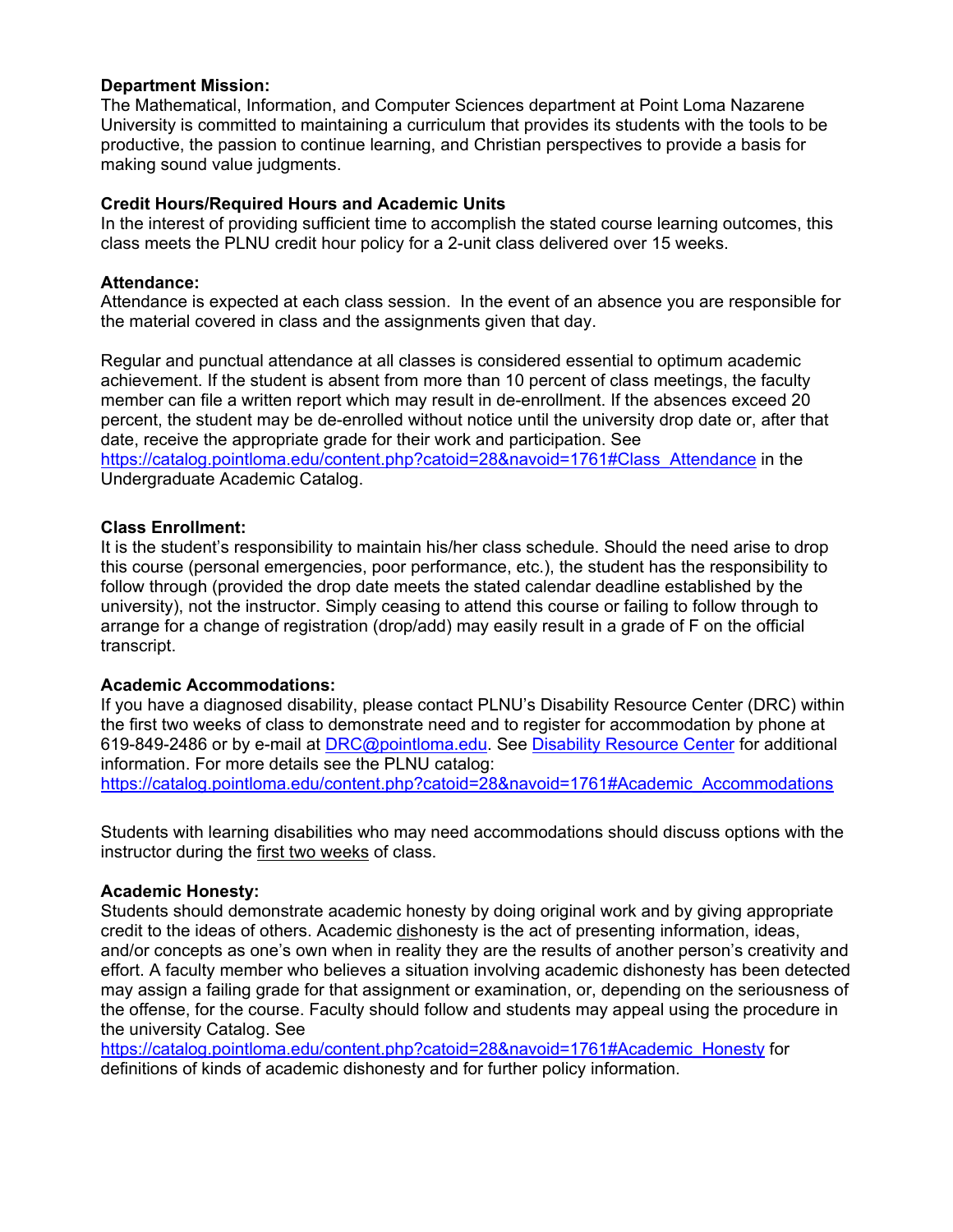### **Department Mission:**

The Mathematical, Information, and Computer Sciences department at Point Loma Nazarene University is committed to maintaining a curriculum that provides its students with the tools to be productive, the passion to continue learning, and Christian perspectives to provide a basis for making sound value judgments.

## **Credit Hours/Required Hours and Academic Units**

In the interest of providing sufficient time to accomplish the stated course learning outcomes, this class meets the PLNU credit hour policy for a 2-unit class delivered over 15 weeks.

## **Attendance:**

Attendance is expected at each class session. In the event of an absence you are responsible for the material covered in class and the assignments given that day.

Regular and punctual attendance at all classes is considered essential to optimum academic achievement. If the student is absent from more than 10 percent of class meetings, the faculty member can file a written report which may result in de-enrollment. If the absences exceed 20 percent, the student may be de-enrolled without notice until the university drop date or, after that date, receive the appropriate grade for their work and participation. See https://catalog.pointloma.edu/content.php?catoid=28&navoid=1761#Class\_Attendance in the

Undergraduate Academic Catalog.

## **Class Enrollment:**

It is the student's responsibility to maintain his/her class schedule. Should the need arise to drop this course (personal emergencies, poor performance, etc.), the student has the responsibility to follow through (provided the drop date meets the stated calendar deadline established by the university), not the instructor. Simply ceasing to attend this course or failing to follow through to arrange for a change of registration (drop/add) may easily result in a grade of F on the official transcript.

# **Academic Accommodations:**

If you have a diagnosed disability, please contact PLNU's Disability Resource Center (DRC) within the first two weeks of class to demonstrate need and to register for accommodation by phone at 619-849-2486 or by e-mail at DRC@pointloma.edu. See Disability Resource Center for additional information. For more details see the PLNU catalog: https://catalog.pointloma.edu/content.php?catoid=28&navoid=1761#Academic\_Accommodations

Students with learning disabilities who may need accommodations should discuss options with the instructor during the first two weeks of class.

#### **Academic Honesty:**

Students should demonstrate academic honesty by doing original work and by giving appropriate credit to the ideas of others. Academic dishonesty is the act of presenting information, ideas, and/or concepts as one's own when in reality they are the results of another person's creativity and effort. A faculty member who believes a situation involving academic dishonesty has been detected may assign a failing grade for that assignment or examination, or, depending on the seriousness of the offense, for the course. Faculty should follow and students may appeal using the procedure in the university Catalog. See

https://catalog.pointloma.edu/content.php?catoid=28&navoid=1761#Academic\_Honesty for definitions of kinds of academic dishonesty and for further policy information.